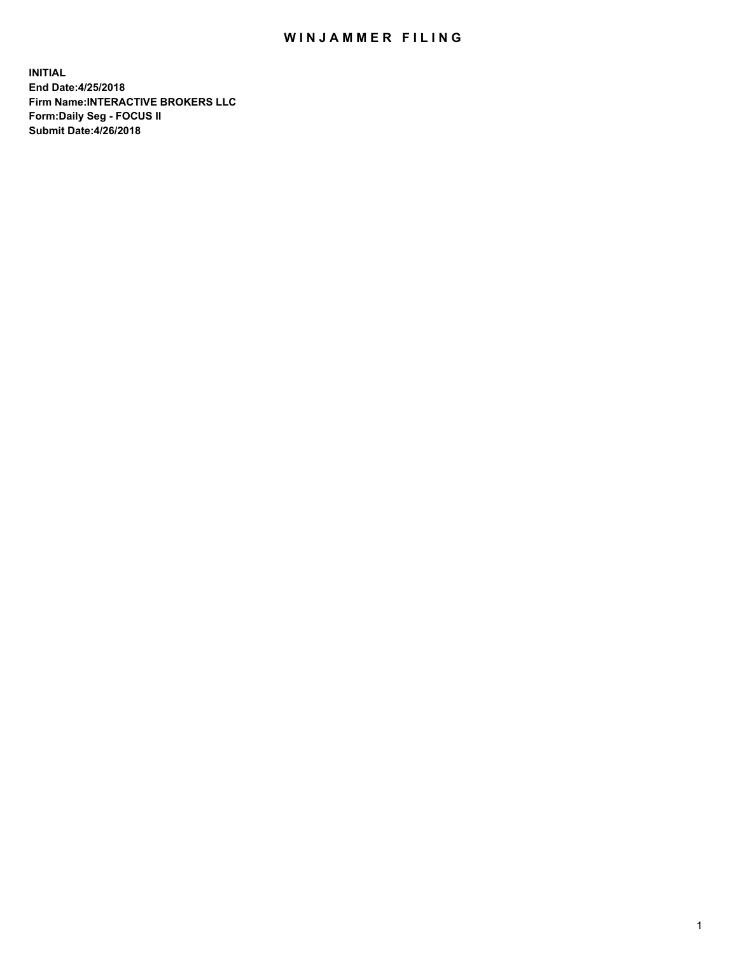## WIN JAMMER FILING

**INITIAL End Date:4/25/2018 Firm Name:INTERACTIVE BROKERS LLC Form:Daily Seg - FOCUS II Submit Date:4/26/2018**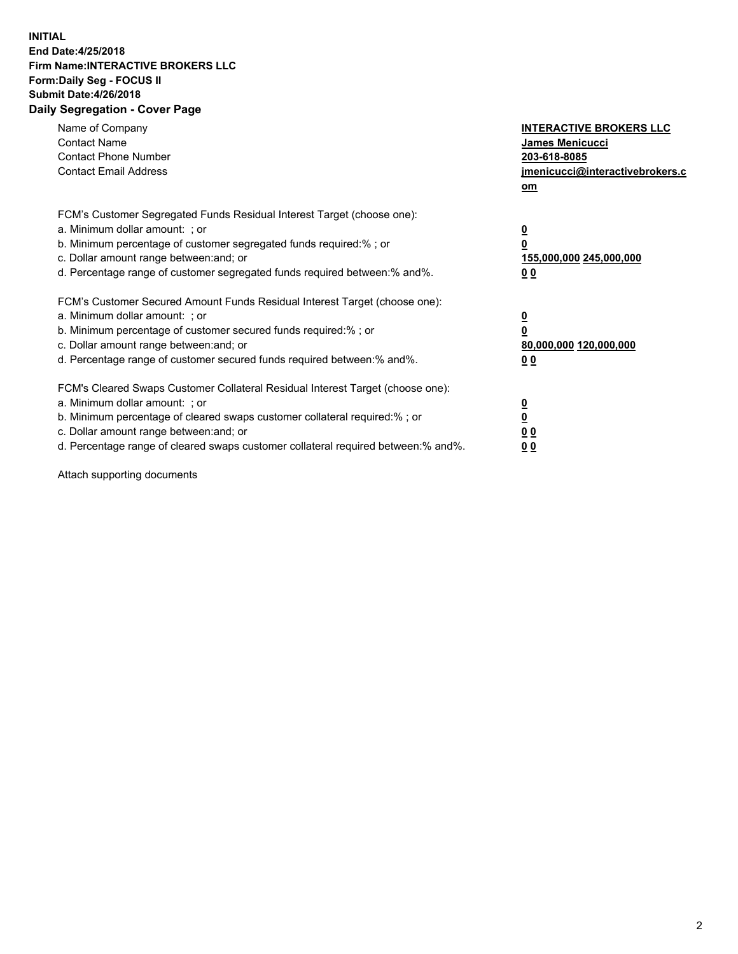## **INITIAL End Date:4/25/2018 Firm Name:INTERACTIVE BROKERS LLC Form:Daily Seg - FOCUS II Submit Date:4/26/2018 Daily Segregation - Cover Page**

| Name of Company<br><b>Contact Name</b><br><b>Contact Phone Number</b><br><b>Contact Email Address</b>                                                                                                                                                                                                                          | <b>INTERACTIVE BROKERS LLC</b><br>James Menicucci<br>203-618-8085<br>jmenicucci@interactivebrokers.c<br>om |
|--------------------------------------------------------------------------------------------------------------------------------------------------------------------------------------------------------------------------------------------------------------------------------------------------------------------------------|------------------------------------------------------------------------------------------------------------|
| FCM's Customer Segregated Funds Residual Interest Target (choose one):<br>a. Minimum dollar amount: ; or<br>b. Minimum percentage of customer segregated funds required:%; or<br>c. Dollar amount range between: and; or<br>d. Percentage range of customer segregated funds required between:% and%.                          | $\overline{\mathbf{0}}$<br>0<br>155,000,000 245,000,000<br>0 <sub>0</sub>                                  |
| FCM's Customer Secured Amount Funds Residual Interest Target (choose one):<br>a. Minimum dollar amount: ; or<br>b. Minimum percentage of customer secured funds required:%; or<br>c. Dollar amount range between: and; or<br>d. Percentage range of customer secured funds required between:% and%.                            | $\overline{\mathbf{0}}$<br>$\overline{\mathbf{0}}$<br>80,000,000 120,000,000<br>00                         |
| FCM's Cleared Swaps Customer Collateral Residual Interest Target (choose one):<br>a. Minimum dollar amount: ; or<br>b. Minimum percentage of cleared swaps customer collateral required:% ; or<br>c. Dollar amount range between: and; or<br>d. Percentage range of cleared swaps customer collateral required between:% and%. | $\overline{\mathbf{0}}$<br>$\overline{\mathbf{0}}$<br>0 <sub>0</sub><br><u>00</u>                          |

Attach supporting documents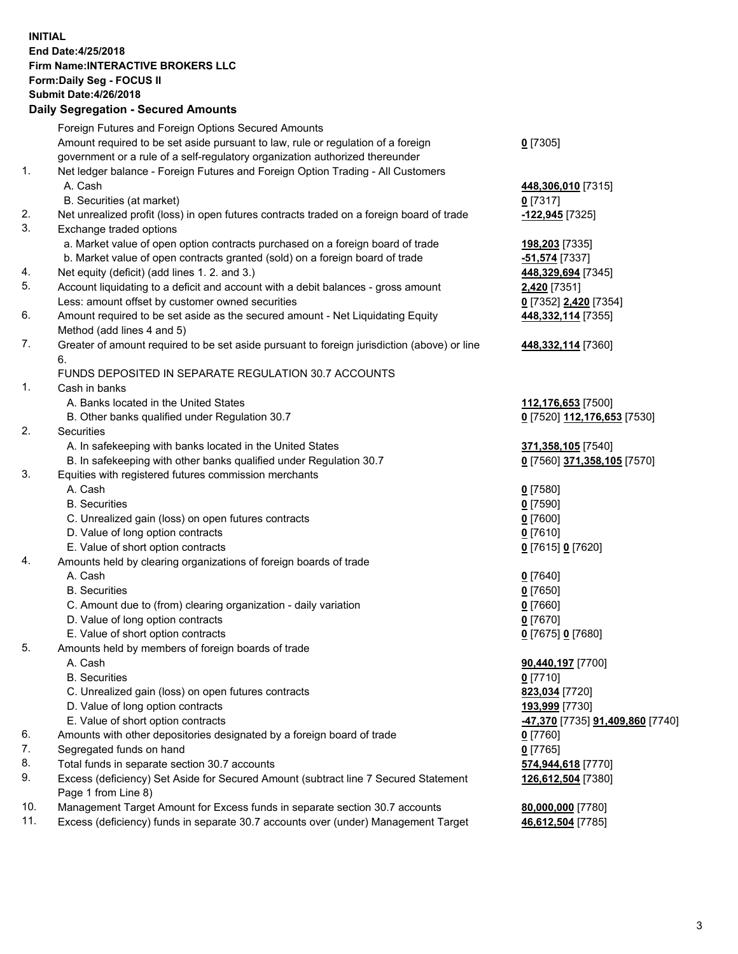## **INITIAL End Date:4/25/2018 Firm Name:INTERACTIVE BROKERS LLC Form:Daily Seg - FOCUS II Submit Date:4/26/2018 Daily Segregation - Secured Amounts**

|                | Daily Ocglegation - Occuled Amounts                                                                  |                                  |
|----------------|------------------------------------------------------------------------------------------------------|----------------------------------|
|                | Foreign Futures and Foreign Options Secured Amounts                                                  |                                  |
|                | Amount required to be set aside pursuant to law, rule or regulation of a foreign                     | $0$ [7305]                       |
|                | government or a rule of a self-regulatory organization authorized thereunder                         |                                  |
| 1.             | Net ledger balance - Foreign Futures and Foreign Option Trading - All Customers                      |                                  |
|                | A. Cash                                                                                              | 448,306,010 [7315]               |
|                | B. Securities (at market)                                                                            | $0$ [7317]                       |
| 2.             | Net unrealized profit (loss) in open futures contracts traded on a foreign board of trade            | -122,945 [7325]                  |
| 3.             | Exchange traded options                                                                              |                                  |
|                | a. Market value of open option contracts purchased on a foreign board of trade                       | 198,203 [7335]                   |
|                | b. Market value of open contracts granted (sold) on a foreign board of trade                         | -51,574 [7337]                   |
| 4.             | Net equity (deficit) (add lines 1.2. and 3.)                                                         | 448,329,694 [7345]               |
| 5.             | Account liquidating to a deficit and account with a debit balances - gross amount                    | 2,420 [7351]                     |
|                | Less: amount offset by customer owned securities                                                     | 0 [7352] 2,420 [7354]            |
| 6.             | Amount required to be set aside as the secured amount - Net Liquidating Equity                       | 448, 332, 114 [7355]             |
|                | Method (add lines 4 and 5)                                                                           |                                  |
| 7.             | Greater of amount required to be set aside pursuant to foreign jurisdiction (above) or line          | 448,332,114 [7360]               |
|                | 6.                                                                                                   |                                  |
|                | FUNDS DEPOSITED IN SEPARATE REGULATION 30.7 ACCOUNTS                                                 |                                  |
| $\mathbf{1}$ . | Cash in banks                                                                                        |                                  |
|                | A. Banks located in the United States                                                                | 112,176,653 [7500]               |
|                | B. Other banks qualified under Regulation 30.7                                                       | 0 [7520] 112,176,653 [7530]      |
| 2.             | Securities                                                                                           |                                  |
|                | A. In safekeeping with banks located in the United States                                            | 371,358,105 [7540]               |
|                | B. In safekeeping with other banks qualified under Regulation 30.7                                   | 0 [7560] 371,358,105 [7570]      |
| 3.             | Equities with registered futures commission merchants                                                |                                  |
|                | A. Cash                                                                                              | $0$ [7580]                       |
|                | <b>B.</b> Securities                                                                                 | $0$ [7590]                       |
|                | C. Unrealized gain (loss) on open futures contracts                                                  | $0$ [7600]                       |
|                | D. Value of long option contracts                                                                    | $0$ [7610]                       |
|                | E. Value of short option contracts                                                                   | 0 [7615] 0 [7620]                |
| 4.             | Amounts held by clearing organizations of foreign boards of trade                                    |                                  |
|                | A. Cash                                                                                              | $0$ [7640]                       |
|                | <b>B.</b> Securities                                                                                 | $0$ [7650]                       |
|                | C. Amount due to (from) clearing organization - daily variation<br>D. Value of long option contracts | $0$ [7660]                       |
|                | E. Value of short option contracts                                                                   | $0$ [7670]                       |
| 5.             |                                                                                                      | 0 [7675] 0 [7680]                |
|                | Amounts held by members of foreign boards of trade<br>A. Cash                                        | 90,440,197 [7700]                |
|                | <b>B.</b> Securities                                                                                 | $0$ [7710]                       |
|                | C. Unrealized gain (loss) on open futures contracts                                                  | 823,034 [7720]                   |
|                | D. Value of long option contracts                                                                    | 193,999 [7730]                   |
|                | E. Value of short option contracts                                                                   | -47,370 [7735] 91,409,860 [7740] |
| 6.             | Amounts with other depositories designated by a foreign board of trade                               | 0 [7760]                         |
| 7.             | Segregated funds on hand                                                                             | $0$ [7765]                       |
| 8.             | Total funds in separate section 30.7 accounts                                                        | 574,944,618 [7770]               |
| 9.             | Excess (deficiency) Set Aside for Secured Amount (subtract line 7 Secured Statement                  | 126,612,504 [7380]               |
|                | Page 1 from Line 8)                                                                                  |                                  |
| 10.            | Management Target Amount for Excess funds in separate section 30.7 accounts                          | 80,000,000 [7780]                |
| 11.            | Excess (deficiency) funds in separate 30.7 accounts over (under) Management Target                   | 46,612,504 [7785]                |
|                |                                                                                                      |                                  |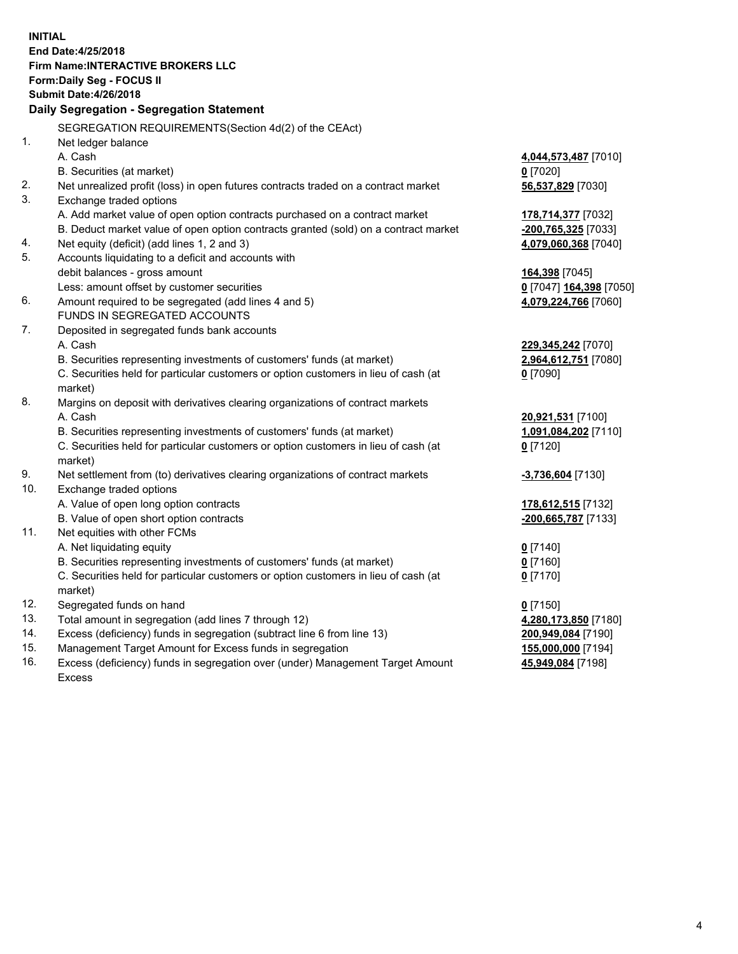**INITIAL End Date:4/25/2018 Firm Name:INTERACTIVE BROKERS LLC Form:Daily Seg - FOCUS II Submit Date:4/26/2018 Daily Segregation - Segregation Statement** SEGREGATION REQUIREMENTS(Section 4d(2) of the CEAct) 1. Net ledger balance A. Cash **4,044,573,487** [7010] B. Securities (at market) **0** [7020] 2. Net unrealized profit (loss) in open futures contracts traded on a contract market **56,537,829** [7030] 3. Exchange traded options A. Add market value of open option contracts purchased on a contract market **178,714,377** [7032] B. Deduct market value of open option contracts granted (sold) on a contract market **-200,765,325** [7033] 4. Net equity (deficit) (add lines 1, 2 and 3) **4,079,060,368** [7040] 5. Accounts liquidating to a deficit and accounts with debit balances - gross amount **164,398** [7045] Less: amount offset by customer securities **0** [7047] **164,398** [7050] 6. Amount required to be segregated (add lines 4 and 5) **4,079,224,766** [7060] FUNDS IN SEGREGATED ACCOUNTS 7. Deposited in segregated funds bank accounts A. Cash **229,345,242** [7070] B. Securities representing investments of customers' funds (at market) **2,964,612,751** [7080] C. Securities held for particular customers or option customers in lieu of cash (at market) **0** [7090] 8. Margins on deposit with derivatives clearing organizations of contract markets A. Cash **20,921,531** [7100] B. Securities representing investments of customers' funds (at market) **1,091,084,202** [7110] C. Securities held for particular customers or option customers in lieu of cash (at market) **0** [7120] 9. Net settlement from (to) derivatives clearing organizations of contract markets **-3,736,604** [7130] 10. Exchange traded options A. Value of open long option contracts **178,612,515** [7132] B. Value of open short option contracts **-200,665,787** [7133] 11. Net equities with other FCMs A. Net liquidating equity **0** [7140] B. Securities representing investments of customers' funds (at market) **0** [7160] C. Securities held for particular customers or option customers in lieu of cash (at market) **0** [7170] 12. Segregated funds on hand **0** [7150] 13. Total amount in segregation (add lines 7 through 12) **4,280,173,850** [7180] 14. Excess (deficiency) funds in segregation (subtract line 6 from line 13) **200,949,084** [7190] 15. Management Target Amount for Excess funds in segregation **155,000,000** [7194]

16. Excess (deficiency) funds in segregation over (under) Management Target Amount Excess

**45,949,084** [7198]